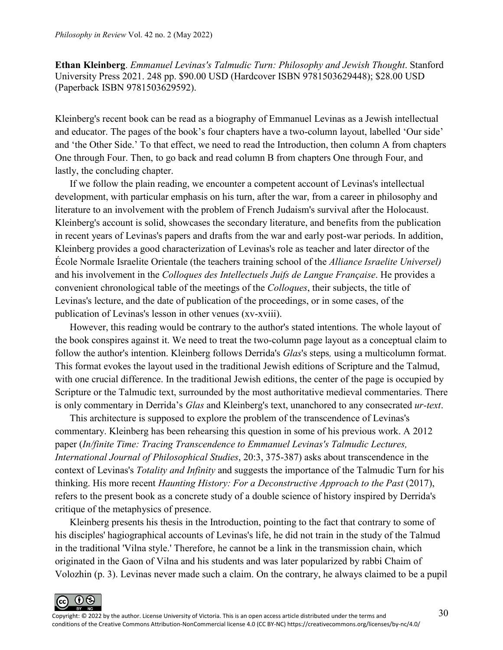**Ethan Kleinberg**. *Emmanuel Levinas's Talmudic Turn: Philosophy and Jewish Thought*. Stanford University Press 2021. 248 pp. \$90.00 USD (Hardcover ISBN 9781503629448); \$28.00 USD (Paperback ISBN 9781503629592).

Kleinberg's recent book can be read as a biography of Emmanuel Levinas as a Jewish intellectual and educator. The pages of the book's four chapters have a two-column layout, labelled 'Our side' and 'the Other Side.' To that effect, we need to read the Introduction, then column A from chapters One through Four. Then, to go back and read column B from chapters One through Four, and lastly, the concluding chapter.

If we follow the plain reading, we encounter a competent account of Levinas's intellectual development, with particular emphasis on his turn, after the war, from a career in philosophy and literature to an involvement with the problem of French Judaism's survival after the Holocaust. Kleinberg's account is solid, showcases the secondary literature, and benefits from the publication in recent years of Levinas's papers and drafts from the war and early post-war periods. In addition, Kleinberg provides a good characterization of Levinas's role as teacher and later director of the École Normale Israelite Orientale (the teachers training school of the *Alliance Israelite Universel)* and his involvement in the *Colloques des Intellectuels Juifs de Langue Française*. He provides a convenient chronological table of the meetings of the *Colloques*, their subjects, the title of Levinas's lecture, and the date of publication of the proceedings, or in some cases, of the publication of Levinas's lesson in other venues (xv-xviii).

However, this reading would be contrary to the author's stated intentions. The whole layout of the book conspires against it. We need to treat the two-column page layout as a conceptual claim to follow the author's intention. Kleinberg follows Derrida's *Glas*'s steps*,* using a multicolumn format. This format evokes the layout used in the traditional Jewish editions of Scripture and the Talmud, with one crucial difference. In the traditional Jewish editions, the center of the page is occupied by Scripture or the Talmudic text, surrounded by the most authoritative medieval commentaries. There is only commentary in Derrida's *Glas* and Kleinberg's text, unanchored to any consecrated *ur-text*.

This architecture is supposed to explore the problem of the transcendence of Levinas's commentary. Kleinberg has been rehearsing this question in some of his previous work. A 2012 paper (*In/finite Time: Tracing Transcendence to Emmanuel Levinas's Talmudic Lectures, International Journal of Philosophical Studies*, 20:3, 375-387) asks about transcendence in the context of Levinas's *Totality and Infinity* and suggests the importance of the Talmudic Turn for his thinking. His more recent *Haunting History: For a Deconstructive Approach to the Past* (2017), refers to the present book as a concrete study of a double science of history inspired by Derrida's critique of the metaphysics of presence.

Kleinberg presents his thesis in the Introduction, pointing to the fact that contrary to some of his disciples' hagiographical accounts of Levinas's life, he did not train in the study of the Talmud in the traditional 'Vilna style.' Therefore, he cannot be a link in the transmission chain, which originated in the Gaon of Vilna and his students and was later popularized by rabbi Chaim of Volozhin (p. 3). Levinas never made such a claim. On the contrary, he always claimed to be a pupil

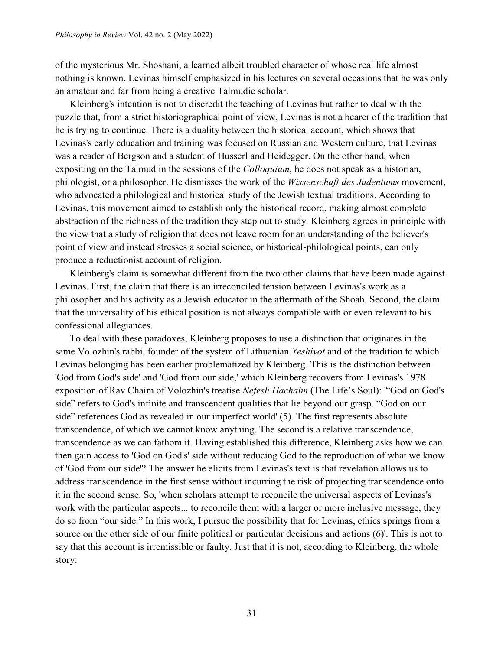of the mysterious Mr. Shoshani, a learned albeit troubled character of whose real life almost nothing is known. Levinas himself emphasized in his lectures on several occasions that he was only an amateur and far from being a creative Talmudic scholar.

Kleinberg's intention is not to discredit the teaching of Levinas but rather to deal with the puzzle that, from a strict historiographical point of view, Levinas is not a bearer of the tradition that he is trying to continue. There is a duality between the historical account, which shows that Levinas's early education and training was focused on Russian and Western culture, that Levinas was a reader of Bergson and a student of Husserl and Heidegger. On the other hand, when expositing on the Talmud in the sessions of the *Colloquium*, he does not speak as a historian, philologist, or a philosopher. He dismisses the work of the *Wissenschaft des Judentums* movement, who advocated a philological and historical study of the Jewish textual traditions. According to Levinas, this movement aimed to establish only the historical record, making almost complete abstraction of the richness of the tradition they step out to study. Kleinberg agrees in principle with the view that a study of religion that does not leave room for an understanding of the believer's point of view and instead stresses a social science, or historical-philological points, can only produce a reductionist account of religion.

Kleinberg's claim is somewhat different from the two other claims that have been made against Levinas. First, the claim that there is an irreconciled tension between Levinas's work as a philosopher and his activity as a Jewish educator in the aftermath of the Shoah. Second, the claim that the universality of his ethical position is not always compatible with or even relevant to his confessional allegiances.

To deal with these paradoxes, Kleinberg proposes to use a distinction that originates in the same Volozhin's rabbi, founder of the system of Lithuanian *Yeshivot* and of the tradition to which Levinas belonging has been earlier problematized by Kleinberg. This is the distinction between 'God from God's side' and 'God from our side,' which Kleinberg recovers from Levinas's 1978 exposition of Rav Chaim of Volozhin's treatise *Nefesh Hachaim* (The Life's Soul): '"God on God's side" refers to God's infinite and transcendent qualities that lie beyond our grasp. "God on our side" references God as revealed in our imperfect world' (5). The first represents absolute transcendence, of which we cannot know anything. The second is a relative transcendence, transcendence as we can fathom it. Having established this difference, Kleinberg asks how we can then gain access to 'God on God's' side without reducing God to the reproduction of what we know of 'God from our side'? The answer he elicits from Levinas's text is that revelation allows us to address transcendence in the first sense without incurring the risk of projecting transcendence onto it in the second sense. So, 'when scholars attempt to reconcile the universal aspects of Levinas's work with the particular aspects... to reconcile them with a larger or more inclusive message, they do so from "our side." In this work, I pursue the possibility that for Levinas, ethics springs from a source on the other side of our finite political or particular decisions and actions (6)'. This is not to say that this account is irremissible or faulty. Just that it is not, according to Kleinberg, the whole story: